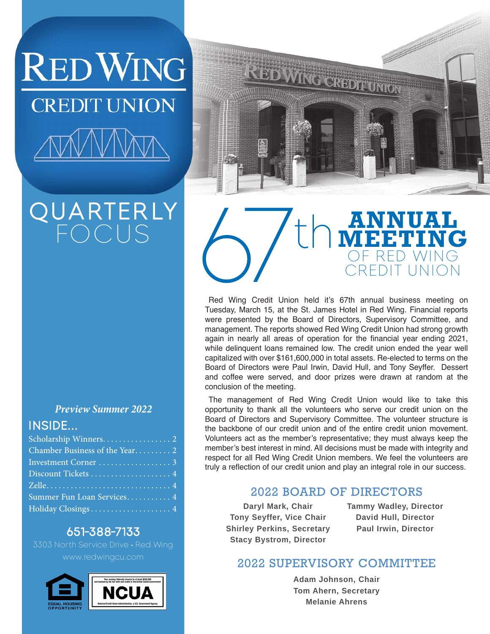**RED WING CREDIT UNION** 

## QUARTERLY FOCUS

### *Preview Summer 2022*

### INSIDE...

| Discount Tickets  4        |  |
|----------------------------|--|
|                            |  |
| Summer Fun Loan Services 4 |  |
|                            |  |

### 651-388-7133

3303 North Service Drive • Red Wing www.redwingcu.com





## **ANNUAL MEETING** OF RED WING CREDIT UNION

Red Wing Credit Union held it's 67th annual business meeting on Tuesday, March 15, at the St. James Hotel in Red Wing. Financial reports were presented by the Board of Directors, Supervisory Committee, and management. The reports showed Red Wing Credit Union had strong growth again in nearly all areas of operation for the financial year ending 2021, while delinquent loans remained low. The credit union ended the year well capitalized with over \$161,600,000 in total assets. Re-elected to terms on the Board of Directors were Paul Irwin, David Hull, and Tony Seyffer. Dessert and coffee were served, and door prizes were drawn at random at the conclusion of the meeting.

The management of Red Wing Credit Union would like to take this opportunity to thank all the volunteers who serve our credit union on the Board of Directors and Supervisory Committee. The volunteer structure is the backbone of our credit union and of the entire credit union movement. Volunteers act as the member's representative; they must always keep the member's best interest in mind. All decisions must be made with integrity and respect for all Red Wing Credit Union members. We feel the volunteers are truly a reflection of our credit union and play an integral role in our success.

### 2022 BOARD OF DIRECTORS

**Daryl Mark, Chair Tony Seyffer, Vice Chair Shirley Perkins, Secretary Stacy Bystrom, Director**

**Tammy Wadley, Director David Hull, Director Paul Irwin, Director**

### 2022 SUPERVISORY COMMITTEE

**Adam Johnson, Chair Tom Ahern, Secretary Melanie Ahrens**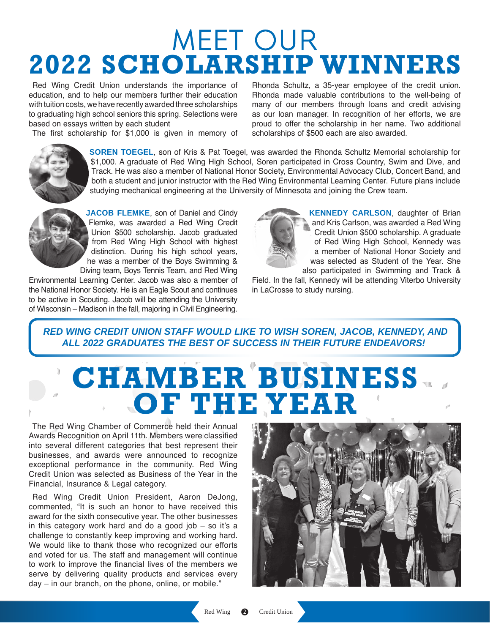## MEET OUR **2022 SCHOLARSHIP WINNERS**

Red Wing Credit Union understands the importance of education, and to help our members further their education with tuition costs, we have recently awarded three scholarships to graduating high school seniors this spring. Selections were based on essays written by each student

The first scholarship for \$1,000 is given in memory of

Rhonda Schultz, a 35-year employee of the credit union. Rhonda made valuable contributions to the well-being of many of our members through loans and credit advising as our loan manager. In recognition of her efforts, we are proud to offer the scholarship in her name. Two additional scholarships of \$500 each are also awarded.



**SOREN TOEGEL**, son of Kris & Pat Toegel, was awarded the Rhonda Schultz Memorial scholarship for \$1,000. A graduate of Red Wing High School, Soren participated in Cross Country, Swim and Dive, and Track. He was also a member of National Honor Society, Environmental Advocacy Club, Concert Band, and both a student and junior instructor with the Red Wing Environmental Learning Center. Future plans include studying mechanical engineering at the University of Minnesota and joining the Crew team.



**JACOB FLEMKE**, son of Daniel and Cindy Flemke, was awarded a Red Wing Credit Union \$500 scholarship. Jacob graduated from Red Wing High School with highest distinction. During his high school years, he was a member of the Boys Swimming & Diving team, Boys Tennis Team, and Red Wing

Environmental Learning Center. Jacob was also a member of the National Honor Society. He is an Eagle Scout and continues to be active in Scouting. Jacob will be attending the University of Wisconsin – Madison in the fall, majoring in Civil Engineering.



**KENNEDY CARLSON**, daughter of Brian and Kris Carlson, was awarded a Red Wing Credit Union \$500 scholarship. A graduate of Red Wing High School, Kennedy was a member of National Honor Society and was selected as Student of the Year. She also participated in Swimming and Track &

Field. In the fall, Kennedy will be attending Viterbo University in LaCrosse to study nursing.

### **RED WING CREDIT UNION STAFF WOULD LIKE TO WISH SOREN, JACOB, KENNEDY, AND** *ALL 2022 GRADUATES THE BEST OF SUCCESS IN THEIR FUTURE ENDEAVORS!*

# **CHAMBER BUSINESS OF THE YEAR**

The Red Wing Chamber of Commerce held their Annual Awards Recognition on April 11th. Members were classified into several different categories that best represent their businesses, and awards were announced to recognize exceptional performance in the community. Red Wing Credit Union was selected as Business of the Year in the Financial, Insurance & Legal category.

Red Wing Credit Union President, Aaron DeJong, commented, "It is such an honor to have received this award for the sixth consecutive year. The other businesses in this category work hard and do a good job  $-$  so it's a challenge to constantly keep improving and working hard. We would like to thank those who recognized our efforts and voted for us. The staff and management will continue to work to improve the financial lives of the members we serve by delivering quality products and services every day – in our branch, on the phone, online, or mobile."

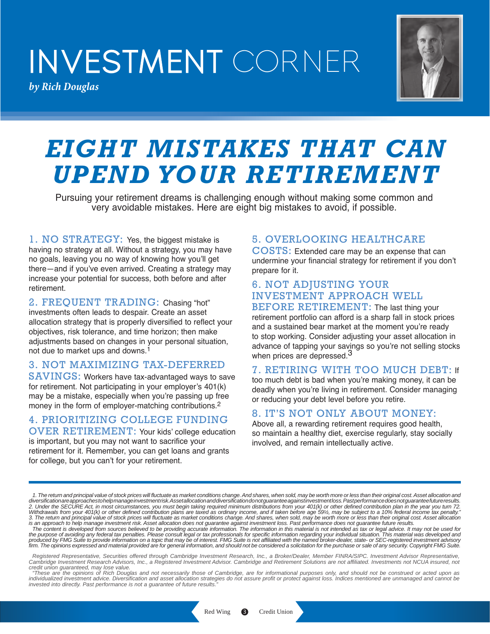# INVESTMENT CORNER

*by Rich Douglas*



## *EIGHT MISTAKES THAT CAN UPEND YOUR RETIREMENT*

Pursuing your retirement dreams is challenging enough without making some common and very avoidable mistakes. Here are eight big mistakes to avoid, if possible.

1. NO STRATEGY: Yes, the biggest mistake is having no strategy at all. Without a strategy, you may have no goals, leaving you no way of knowing how you'll get there—and if you've even arrived. Creating a strategy may increase your potential for success, both before and after retirement.

2. FREQUENT TRADING: Chasing "hot" investments often leads to despair. Create an asset allocation strategy that is properly diversified to reflect your objectives, risk tolerance, and time horizon; then make adjustments based on changes in your personal situation, not due to market ups and downs.1

#### 3. NOT MAXIMIZING TAX-DEFERRED

SAVINGS: Workers have tax-advantaged ways to save for retirement. Not participating in your employer's 401(k) may be a mistake, especially when you're passing up free money in the form of employer-matching contributions.2

4. PRIORITIZING COLLEGE FUNDING OVER RETIREMENT: Your kids' college education

is important, but you may not want to sacrifice your retirement for it. Remember, you can get loans and grants for college, but you can't for your retirement.

### 5. OVERLOOKING HEALTHCARE

COSTS: Extended care may be an expense that can undermine your financial strategy for retirement if you don't prepare for it.

### 6. NOT ADJUSTING YOUR INVESTMENT APPROACH WELL

BEFORE RETIREMENT: The last thing your retirement portfolio can afford is a sharp fall in stock prices and a sustained bear market at the moment you're ready to stop working. Consider adjusting your asset allocation in advance of tapping your savings so you're not selling stocks when prices are depressed.<sup>3</sup>

### 7. RETIRING WITH TOO MUCH DEBT: If

too much debt is bad when you're making money, it can be deadly when you're living in retirement. Consider managing or reducing your debt level before you retire.

### 8. IT'S NOT ONLY ABOUT MONEY:

Above all, a rewarding retirement requires good health, so maintain a healthy diet, exercise regularly, stay socially involved, and remain intellectually active.

*credit union guaranteed, may lose value. "These are the opinions of Rich Douglas and not necessarily those of Cambridge, are for informational purposes only, and should not be construed or acted upon as individualized investment advice. Diversification and asset allocation strategies do not assure profit or protect against loss. Indices mentioned are unmanaged and cannot be*  invested into directly. Past performance is not a guarantee of future results.

*<sup>1.</sup> The return and principal value of stock prices will fluctuate as market conditions change. And shares, when sold, may be worth more or less than their original cost. Asset allocation and diversification are approaches to help manage investment risk. Asset allocation and diversification do not guarantee against investment loss. Past performance does not guarantee future results.* 2. Under the SECURE Act, in most circumstances, you must begin taking required minimum distributions from your 401(k) or other defined contribution plan in the year you turn 72.<br>Withdrawals from your 401(k) or other define

is an approach to help manage investment risk. Asset allocation does not guarantee against investment loss. Past performance does not guarantee future results.<br>The content is developed from sources believed to be providing

*Registered Representative, Securities offered through Cambridge Investment Research, Inc., a Broker/Dealer, Member FINRA/SIPC. Investment Advisor Representative, Cambridge Investment Research Advisors, Inc., a Registered Investment Advisor. Cambridge and Retirement Solutions are not affiliated. Investments not NCUA insured, not*